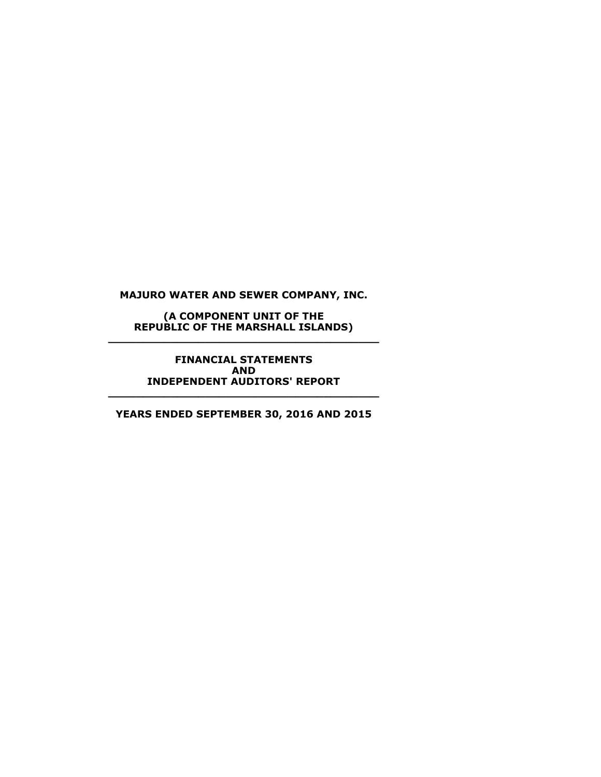**(A COMPONENT UNIT OF THE REPUBLIC OF THE MARSHALL ISLANDS) \_\_\_\_\_\_\_\_\_\_\_\_\_\_\_\_\_\_\_\_\_\_\_\_\_\_\_\_\_\_\_\_\_\_\_\_\_\_\_**

> **FINANCIAL STATEMENTS AND INDEPENDENT AUDITORS' REPORT**

**YEARS ENDED SEPTEMBER 30, 2016 AND 2015**

**\_\_\_\_\_\_\_\_\_\_\_\_\_\_\_\_\_\_\_\_\_\_\_\_\_\_\_\_\_\_\_\_\_\_\_\_\_\_\_**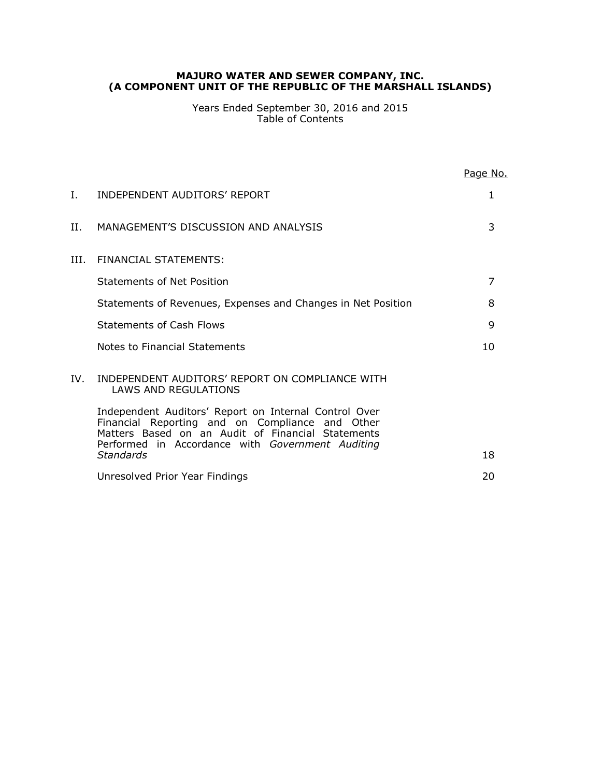Years Ended September 30, 2016 and 2015 Table of Contents

|     |                                                                                                                                                               | Page No. |
|-----|---------------------------------------------------------------------------------------------------------------------------------------------------------------|----------|
| L.  | INDEPENDENT AUDITORS' REPORT                                                                                                                                  | 1        |
| H.  | MANAGEMENT'S DISCUSSION AND ANALYSIS                                                                                                                          | 3        |
| HL. | FINANCIAL STATEMENTS:                                                                                                                                         |          |
|     | <b>Statements of Net Position</b>                                                                                                                             | 7        |
|     | Statements of Revenues, Expenses and Changes in Net Position                                                                                                  | 8        |
|     | Statements of Cash Flows                                                                                                                                      | 9        |
|     | Notes to Financial Statements                                                                                                                                 | 10       |
| IV. | INDEPENDENT AUDITORS' REPORT ON COMPLIANCE WITH<br>LAWS AND REGULATIONS                                                                                       |          |
|     | Independent Auditors' Report on Internal Control Over<br>Financial Reporting and on Compliance and Other<br>Matters Based on an Audit of Financial Statements |          |
|     | Performed in Accordance with Government Auditing<br><b>Standards</b>                                                                                          | 18       |
|     | Unresolved Prior Year Findings                                                                                                                                | 20       |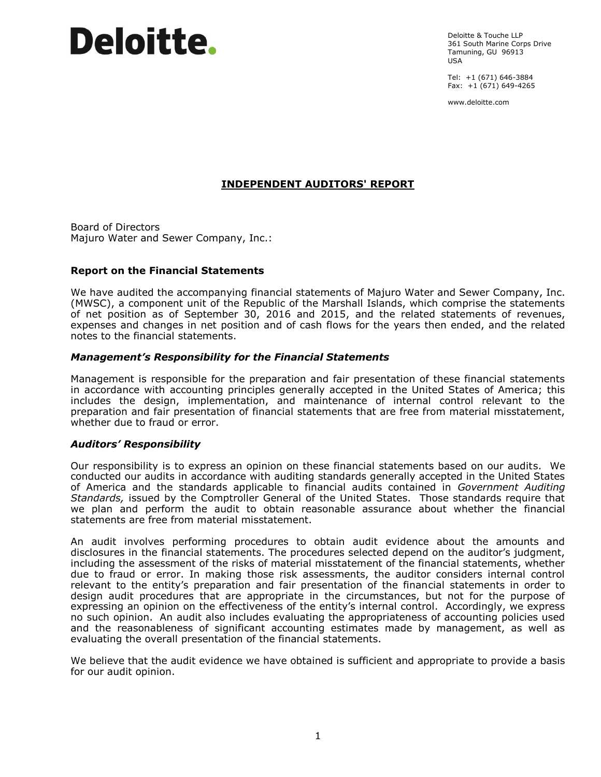# **Deloitte**.

Deloitte & Touche LLP 361 South Marine Corps Drive Tamuning, GU 96913 USA

Tel: +1 (671) 646-3884 Fax:  $+1(671)$  649-4265

www.deloitte.com

# **INDEPENDENT AUDITORS' REPORT**

Board of Directors Majuro Water and Sewer Company, Inc.:

#### **Report on the Financial Statements**

We have audited the accompanying financial statements of Majuro Water and Sewer Company, Inc. (MWSC), a component unit of the Republic of the Marshall Islands, which comprise the statements of net position as of September 30, 2016 and 2015, and the related statements of revenues, expenses and changes in net position and of cash flows for the years then ended, and the related notes to the financial statements.

#### *Management's Responsibility for the Financial Statements*

Management is responsible for the preparation and fair presentation of these financial statements in accordance with accounting principles generally accepted in the United States of America; this includes the design, implementation, and maintenance of internal control relevant to the preparation and fair presentation of financial statements that are free from material misstatement, whether due to fraud or error.

#### *Auditors' Responsibility*

Our responsibility is to express an opinion on these financial statements based on our audits. We conducted our audits in accordance with auditing standards generally accepted in the United States of America and the standards applicable to financial audits contained in *Government Auditing Standards,* issued by the Comptroller General of the United States. Those standards require that we plan and perform the audit to obtain reasonable assurance about whether the financial statements are free from material misstatement.

An audit involves performing procedures to obtain audit evidence about the amounts and disclosures in the financial statements. The procedures selected depend on the auditor's judgment, including the assessment of the risks of material misstatement of the financial statements, whether due to fraud or error. In making those risk assessments, the auditor considers internal control relevant to the entity's preparation and fair presentation of the financial statements in order to design audit procedures that are appropriate in the circumstances, but not for the purpose of expressing an opinion on the effectiveness of the entity's internal control. Accordingly, we express no such opinion. An audit also includes evaluating the appropriateness of accounting policies used and the reasonableness of significant accounting estimates made by management, as well as evaluating the overall presentation of the financial statements.

We believe that the audit evidence we have obtained is sufficient and appropriate to provide a basis for our audit opinion.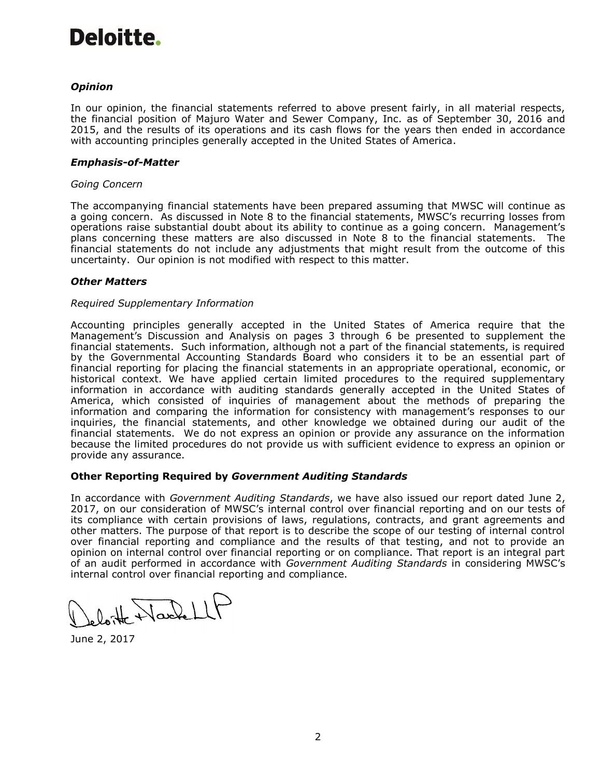# Deloitte.

# *Opinion*

In our opinion, the financial statements referred to above present fairly, in all material respects, the financial position of Majuro Water and Sewer Company, Inc. as of September 30, 2016 and 2015, and the results of its operations and its cash flows for the years then ended in accordance with accounting principles generally accepted in the United States of America.

#### *Emphasis-of-Matter*

## *Going Concern*

The accompanying financial statements have been prepared assuming that MWSC will continue as a going concern. As discussed in Note 8 to the financial statements, MWSC's recurring losses from operations raise substantial doubt about its ability to continue as a going concern. Management's plans concerning these matters are also discussed in Note 8 to the financial statements. The financial statements do not include any adjustments that might result from the outcome of this uncertainty. Our opinion is not modified with respect to this matter.

# *Other Matters*

#### *Required Supplementary Information*

Accounting principles generally accepted in the United States of America require that the Management's Discussion and Analysis on pages 3 through 6 be presented to supplement the financial statements. Such information, although not a part of the financial statements, is required by the Governmental Accounting Standards Board who considers it to be an essential part of financial reporting for placing the financial statements in an appropriate operational, economic, or historical context. We have applied certain limited procedures to the required supplementary information in accordance with auditing standards generally accepted in the United States of America, which consisted of inquiries of management about the methods of preparing the information and comparing the information for consistency with management's responses to our inquiries, the financial statements, and other knowledge we obtained during our audit of the financial statements. We do not express an opinion or provide any assurance on the information because the limited procedures do not provide us with sufficient evidence to express an opinion or provide any assurance.

# **Other Reporting Required by** *Government Auditing Standards*

In accordance with *Government Auditing Standards*, we have also issued our report dated June 2, 2017, on our consideration of MWSC's internal control over financial reporting and on our tests of its compliance with certain provisions of laws, regulations, contracts, and grant agreements and other matters. The purpose of that report is to describe the scope of our testing of internal control over financial reporting and compliance and the results of that testing, and not to provide an opinion on internal control over financial reporting or on compliance. That report is an integral part of an audit performed in accordance with *Government Auditing Standards* in considering MWSC's internal control over financial reporting and compliance.

eloite Nachell

June 2, 2017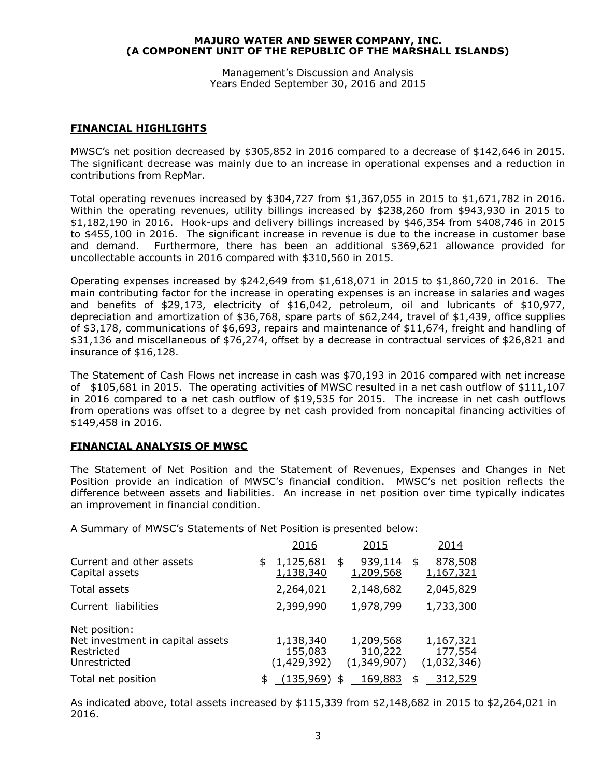Management's Discussion and Analysis Years Ended September 30, 2016 and 2015

## **FINANCIAL HIGHLIGHTS**

MWSC's net position decreased by \$305,852 in 2016 compared to a decrease of \$142,646 in 2015. The significant decrease was mainly due to an increase in operational expenses and a reduction in contributions from RepMar.

Total operating revenues increased by \$304,727 from \$1,367,055 in 2015 to \$1,671,782 in 2016. Within the operating revenues, utility billings increased by \$238,260 from \$943,930 in 2015 to \$1,182,190 in 2016. Hook-ups and delivery billings increased by \$46,354 from \$408,746 in 2015 to \$455,100 in 2016. The significant increase in revenue is due to the increase in customer base and demand. Furthermore, there has been an additional \$369,621 allowance provided for uncollectable accounts in 2016 compared with \$310,560 in 2015.

Operating expenses increased by \$242,649 from \$1,618,071 in 2015 to \$1,860,720 in 2016. The main contributing factor for the increase in operating expenses is an increase in salaries and wages and benefits of \$29,173, electricity of \$16,042, petroleum, oil and lubricants of \$10,977, depreciation and amortization of \$36,768, spare parts of \$62,244, travel of \$1,439, office supplies of \$3,178, communications of \$6,693, repairs and maintenance of \$11,674, freight and handling of \$31,136 and miscellaneous of \$76,274, offset by a decrease in contractual services of \$26,821 and insurance of \$16,128.

The Statement of Cash Flows net increase in cash was \$70,193 in 2016 compared with net increase of \$105,681 in 2015. The operating activities of MWSC resulted in a net cash outflow of \$111,107 in 2016 compared to a net cash outflow of \$19,535 for 2015. The increase in net cash outflows from operations was offset to a degree by net cash provided from noncapital financing activities of \$149,458 in 2016.

# **FINANCIAL ANALYSIS OF MWSC**

The Statement of Net Position and the Statement of Revenues, Expenses and Changes in Net Position provide an indication of MWSC's financial condition. MWSC's net position reflects the difference between assets and liabilities. An increase in net position over time typically indicates an improvement in financial condition.

A Summary of MWSC's Statements of Net Position is presented below:

|                                                                                 | 2016                                | 2015                                       |      | 2014                                |
|---------------------------------------------------------------------------------|-------------------------------------|--------------------------------------------|------|-------------------------------------|
| Current and other assets<br>Capital assets                                      | \$<br>1,125,681<br>1,138,340        | \$<br>939,114<br>1,209,568                 | - \$ | 878,508<br>1,167,321                |
| Total assets                                                                    | 2,264,021                           | 2,148,682                                  |      | 2,045,829                           |
| Current liabilities                                                             | 2,399,990                           | 1,978,799                                  |      | 1,733,300                           |
| Net position:<br>Net investment in capital assets<br>Restricted<br>Unrestricted | 1,138,340<br>155,083<br>(1,429,392) | 1,209,568<br>310,222<br><u>(1,349,907)</u> |      | 1,167,321<br>177,554<br>(1,032,346) |
| Total net position                                                              | <u>(135,969)</u>                    | \$<br><u>169,883</u>                       |      | <u>312,529</u>                      |

As indicated above, total assets increased by \$115,339 from \$2,148,682 in 2015 to \$2,264,021 in 2016.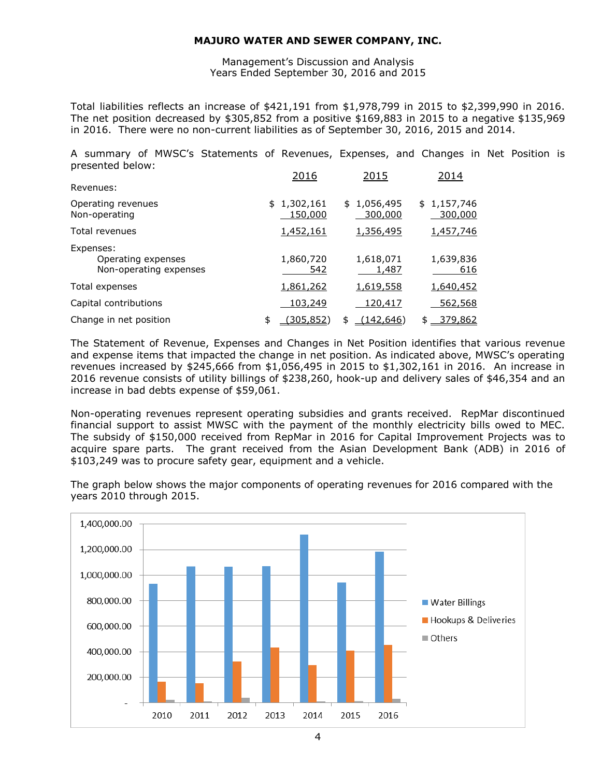Management's Discussion and Analysis Years Ended September 30, 2016 and 2015

Total liabilities reflects an increase of \$421,191 from \$1,978,799 in 2015 to \$2,399,990 in 2016. The net position decreased by  $$305,852$  from a positive  $$169,883$  in 2015 to a negative  $$135,969$ in 2016. There were no non-current liabilities as of September 30, 2016, 2015 and 2014.

A summary of MWSC's Statements of Revenues, Expenses, and Changes in Net Position is presented below:

|                                                           | 2016                          | 2015                   | 2014                   |
|-----------------------------------------------------------|-------------------------------|------------------------|------------------------|
| Revenues:                                                 |                               |                        |                        |
| Operating revenues<br>Non-operating                       | \$1,302,161<br><u>150,000</u> | \$1,056,495<br>300,000 | \$1,157,746<br>300,000 |
| Total revenues                                            | 1,452,161                     | <u>1,356,495</u>       | 1,457,746              |
| Expenses:<br>Operating expenses<br>Non-operating expenses | 1,860,720<br>542              | 1,618,071<br>1,487     | 1,639,836<br>616       |
| Total expenses                                            | 1,861,262                     | <u>1,619,558</u>       | 1,640,452              |
| Capital contributions                                     | 103,249                       | 120,417                | 562,568                |
| Change in net position                                    | \$<br><u>(305,852)</u>        | (142, 646)<br>\$       | <u>379,862</u><br>\$   |

The Statement of Revenue, Expenses and Changes in Net Position identifies that various revenue and expense items that impacted the change in net position. As indicated above, MWSC's operating revenues increased by \$245,666 from \$1,056,495 in 2015 to \$1,302,161 in 2016. An increase in 2016 revenue consists of utility billings of \$238,260, hook-up and delivery sales of \$46,354 and an increase in bad debts expense of \$59,061.

Non-operating revenues represent operating subsidies and grants received. RepMar discontinued financial support to assist MWSC with the payment of the monthly electricity bills owed to MEC. The subsidy of \$150,000 received from RepMar in 2016 for Capital Improvement Projects was to acquire spare parts. The grant received from the Asian Development Bank (ADB) in 2016 of \$103,249 was to procure safety gear, equipment and a vehicle.

The graph below shows the major components of operating revenues for 2016 compared with the years 2010 through 2015.

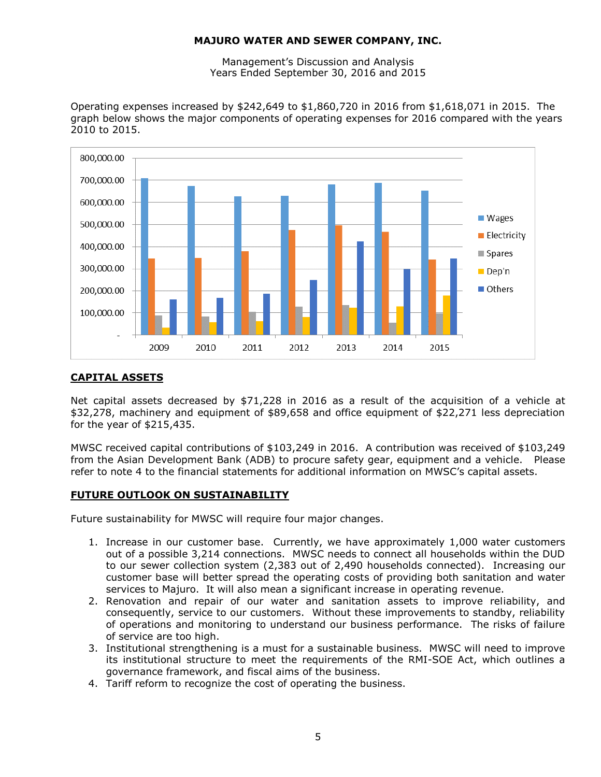Management's Discussion and Analysis Years Ended September 30, 2016 and 2015

Operating expenses increased by \$242,649 to \$1,860,720 in 2016 from \$1,618,071 in 2015. The graph below shows the major components of operating expenses for 2016 compared with the years 2010 to 2015.



# **CAPITAL ASSETS**

Net capital assets decreased by \$71,228 in 2016 as a result of the acquisition of a vehicle at \$32,278, machinery and equipment of \$89,658 and office equipment of \$22,271 less depreciation for the year of \$215,435.

MWSC received capital contributions of \$103,249 in 2016. A contribution was received of \$103,249 from the Asian Development Bank (ADB) to procure safety gear, equipment and a vehicle. Please refer to note 4 to the financial statements for additional information on MWSC's capital assets.

# **FUTURE OUTLOOK ON SUSTAINABILITY**

Future sustainability for MWSC will require four major changes.

- 1. Increase in our customer base. Currently, we have approximately 1,000 water customers out of a possible 3,214 connections. MWSC needs to connect all households within the DUD to our sewer collection system (2,383 out of 2,490 households connected). Increasing our customer base will better spread the operating costs of providing both sanitation and water services to Majuro. It will also mean a significant increase in operating revenue.
- 2. Renovation and repair of our water and sanitation assets to improve reliability, and consequently, service to our customers. Without these improvements to standby, reliability of operations and monitoring to understand our business performance. The risks of failure of service are too high.
- 3. Institutional strengthening is a must for a sustainable business. MWSC will need to improve its institutional structure to meet the requirements of the RMI-SOE Act, which outlines a governance framework, and fiscal aims of the business.
- 4. Tariff reform to recognize the cost of operating the business.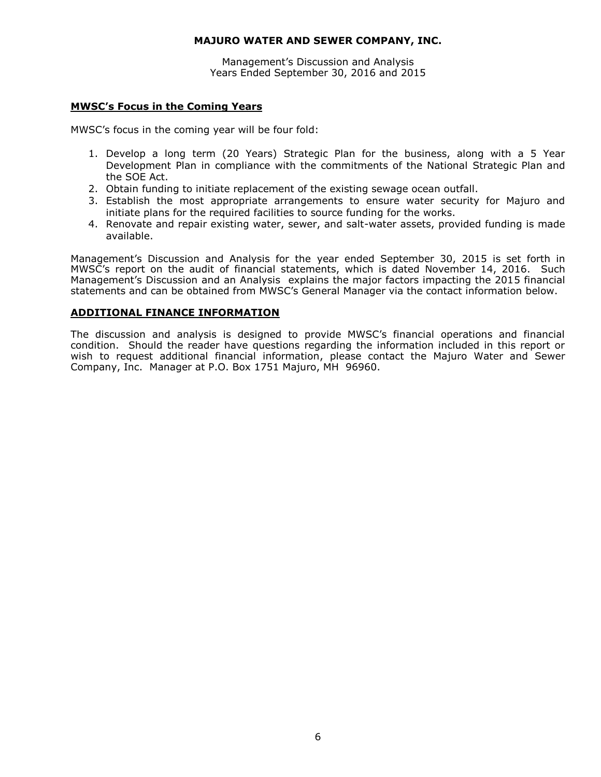Management's Discussion and Analysis Years Ended September 30, 2016 and 2015

#### **MWSC's Focus in the Coming Years**

MWSC's focus in the coming year will be four fold:

- 1. Develop a long term (20 Years) Strategic Plan for the business, along with a 5 Year Development Plan in compliance with the commitments of the National Strategic Plan and the SOE Act.
- 2. Obtain funding to initiate replacement of the existing sewage ocean outfall.
- 3. Establish the most appropriate arrangements to ensure water security for Majuro and initiate plans for the required facilities to source funding for the works.
- 4. Renovate and repair existing water, sewer, and salt-water assets, provided funding is made available.

Management's Discussion and Analysis for the year ended September 30, 2015 is set forth in MWSC's report on the audit of financial statements, which is dated November 14, 2016. Such Management's Discussion and an Analysis explains the major factors impacting the 2015 financial statements and can be obtained from MWSC's General Manager via the contact information below.

# **ADDITIONAL FINANCE INFORMATION**

The discussion and analysis is designed to provide MWSC's financial operations and financial condition. Should the reader have questions regarding the information included in this report or wish to request additional financial information, please contact the Majuro Water and Sewer Company, Inc. Manager at P.O. Box 1751 Majuro, MH 96960.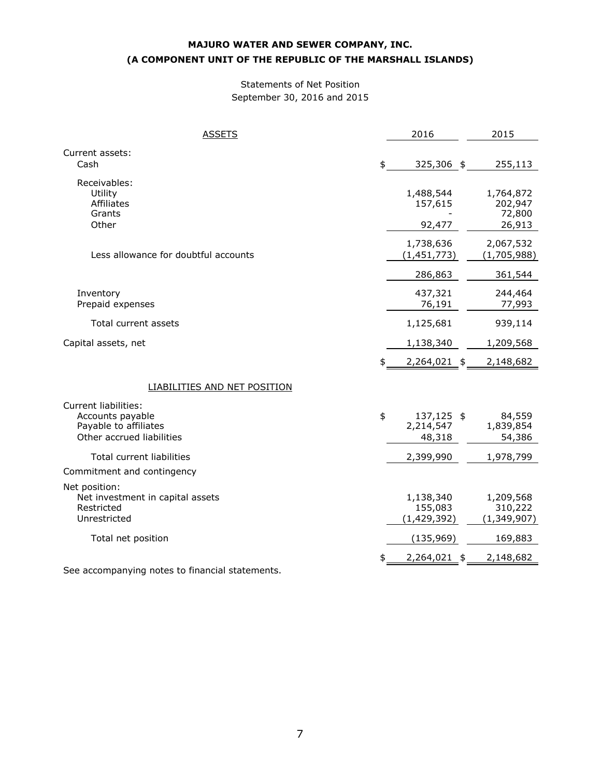## Statements of Net Position September 30, 2016 and 2015

| <b>ASSETS</b>                                                                                         | 2016                                    | 2015                                     |
|-------------------------------------------------------------------------------------------------------|-----------------------------------------|------------------------------------------|
| Current assets:<br>Cash                                                                               | \$<br>325,306 \$                        | 255,113                                  |
| Receivables:<br>Utility<br>Affiliates<br>Grants<br>Other                                              | 1,488,544<br>157,615<br>92,477          | 1,764,872<br>202,947<br>72,800<br>26,913 |
| Less allowance for doubtful accounts                                                                  | 1,738,636<br>(1, 451, 773)              | 2,067,532<br>(1,705,988)                 |
|                                                                                                       | 286,863                                 | 361,544                                  |
| Inventory<br>Prepaid expenses                                                                         | 437,321<br>76,191                       | 244,464<br>77,993                        |
| Total current assets                                                                                  | 1,125,681                               | 939,114                                  |
| Capital assets, net                                                                                   | 1,138,340                               | 1,209,568                                |
|                                                                                                       | \$<br>2,264,021 \$                      | 2,148,682                                |
| <b>LIABILITIES AND NET POSITION</b>                                                                   |                                         |                                          |
| <b>Current liabilities:</b><br>Accounts payable<br>Payable to affiliates<br>Other accrued liabilities | \$<br>137,125 \$<br>2,214,547<br>48,318 | 84,559<br>1,839,854<br>54,386            |
| <b>Total current liabilities</b><br>Commitment and contingency                                        | 2,399,990                               | 1,978,799                                |
| Net position:<br>Net investment in capital assets<br>Restricted<br>Unrestricted                       | 1,138,340<br>155,083<br>(1, 429, 392)   | 1,209,568<br>310,222<br>(1, 349, 907)    |
| Total net position                                                                                    | (135, 969)                              | 169,883                                  |
| See accompanying notes to financial statements.                                                       | \$<br>2,264,021 \$                      | 2,148,682                                |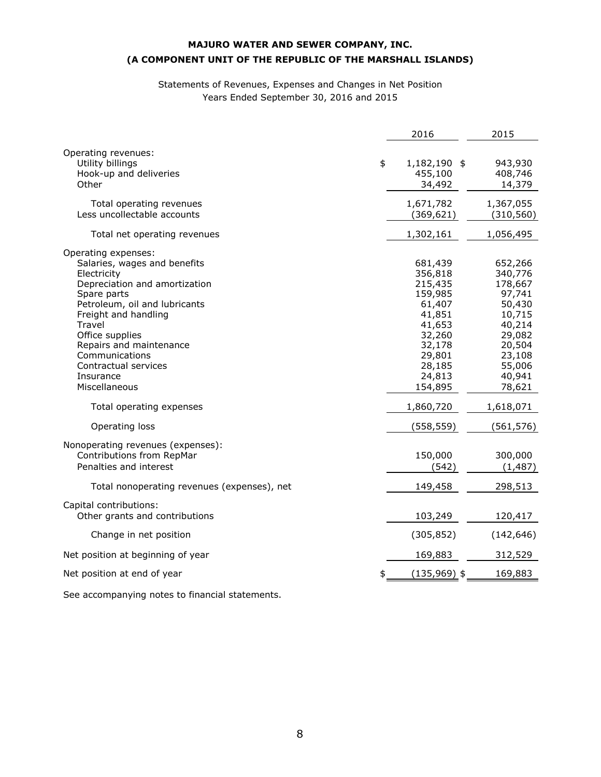# Statements of Revenues, Expenses and Changes in Net Position Years Ended September 30, 2016 and 2015

| Operating revenues:<br>Utility billings<br>\$<br>1,182,190 \$<br>943,930<br>Hook-up and deliveries<br>455,100<br>408,746<br>Other<br>14,379<br>34,492<br>1,671,782<br>1,367,055<br>Total operating revenues<br>Less uncollectable accounts<br>(369, 621)<br>(310, 560)<br>1,302,161<br>1,056,495<br>Total net operating revenues<br>Operating expenses:<br>Salaries, wages and benefits<br>681,439<br>652,266<br>Electricity<br>356,818<br>340,776<br>215,435<br>178,667<br>Depreciation and amortization<br>159,985<br>97,741<br>Spare parts<br>Petroleum, oil and lubricants<br>61,407<br>50,430<br>Freight and handling<br>41,851<br>10,715<br>40,214<br>Travel<br>41,653<br>Office supplies<br>32,260<br>29,082<br>Repairs and maintenance<br>32,178<br>20,504<br>Communications<br>29,801<br>23,108<br>Contractual services<br>28,185<br>55,006<br>24,813<br>40,941<br>Insurance<br>Miscellaneous<br>154,895<br>78,621<br>1,860,720<br>1,618,071<br>Total operating expenses<br>Operating loss<br>(558, 559)<br>(561, 576)<br>Nonoperating revenues (expenses):<br>Contributions from RepMar<br>150,000<br>300,000<br>Penalties and interest<br>(542)<br>(1, 487)<br>Total nonoperating revenues (expenses), net<br>149,458<br>298,513<br>Capital contributions:<br>Other grants and contributions<br>103,249<br>120,417<br>(305, 852)<br>Change in net position<br>(142, 646)<br>Net position at beginning of year<br>169,883<br>312,529 |                             | 2016           | 2015    |
|------------------------------------------------------------------------------------------------------------------------------------------------------------------------------------------------------------------------------------------------------------------------------------------------------------------------------------------------------------------------------------------------------------------------------------------------------------------------------------------------------------------------------------------------------------------------------------------------------------------------------------------------------------------------------------------------------------------------------------------------------------------------------------------------------------------------------------------------------------------------------------------------------------------------------------------------------------------------------------------------------------------------------------------------------------------------------------------------------------------------------------------------------------------------------------------------------------------------------------------------------------------------------------------------------------------------------------------------------------------------------------------------------------------------------------------------|-----------------------------|----------------|---------|
|                                                                                                                                                                                                                                                                                                                                                                                                                                                                                                                                                                                                                                                                                                                                                                                                                                                                                                                                                                                                                                                                                                                                                                                                                                                                                                                                                                                                                                                |                             |                |         |
|                                                                                                                                                                                                                                                                                                                                                                                                                                                                                                                                                                                                                                                                                                                                                                                                                                                                                                                                                                                                                                                                                                                                                                                                                                                                                                                                                                                                                                                |                             |                |         |
|                                                                                                                                                                                                                                                                                                                                                                                                                                                                                                                                                                                                                                                                                                                                                                                                                                                                                                                                                                                                                                                                                                                                                                                                                                                                                                                                                                                                                                                |                             |                |         |
|                                                                                                                                                                                                                                                                                                                                                                                                                                                                                                                                                                                                                                                                                                                                                                                                                                                                                                                                                                                                                                                                                                                                                                                                                                                                                                                                                                                                                                                |                             |                |         |
|                                                                                                                                                                                                                                                                                                                                                                                                                                                                                                                                                                                                                                                                                                                                                                                                                                                                                                                                                                                                                                                                                                                                                                                                                                                                                                                                                                                                                                                |                             |                |         |
|                                                                                                                                                                                                                                                                                                                                                                                                                                                                                                                                                                                                                                                                                                                                                                                                                                                                                                                                                                                                                                                                                                                                                                                                                                                                                                                                                                                                                                                |                             |                |         |
|                                                                                                                                                                                                                                                                                                                                                                                                                                                                                                                                                                                                                                                                                                                                                                                                                                                                                                                                                                                                                                                                                                                                                                                                                                                                                                                                                                                                                                                |                             |                |         |
|                                                                                                                                                                                                                                                                                                                                                                                                                                                                                                                                                                                                                                                                                                                                                                                                                                                                                                                                                                                                                                                                                                                                                                                                                                                                                                                                                                                                                                                |                             |                |         |
|                                                                                                                                                                                                                                                                                                                                                                                                                                                                                                                                                                                                                                                                                                                                                                                                                                                                                                                                                                                                                                                                                                                                                                                                                                                                                                                                                                                                                                                |                             |                |         |
|                                                                                                                                                                                                                                                                                                                                                                                                                                                                                                                                                                                                                                                                                                                                                                                                                                                                                                                                                                                                                                                                                                                                                                                                                                                                                                                                                                                                                                                |                             |                |         |
|                                                                                                                                                                                                                                                                                                                                                                                                                                                                                                                                                                                                                                                                                                                                                                                                                                                                                                                                                                                                                                                                                                                                                                                                                                                                                                                                                                                                                                                |                             |                |         |
| \$                                                                                                                                                                                                                                                                                                                                                                                                                                                                                                                                                                                                                                                                                                                                                                                                                                                                                                                                                                                                                                                                                                                                                                                                                                                                                                                                                                                                                                             | Net position at end of year | $(135,969)$ \$ | 169,883 |

See accompanying notes to financial statements.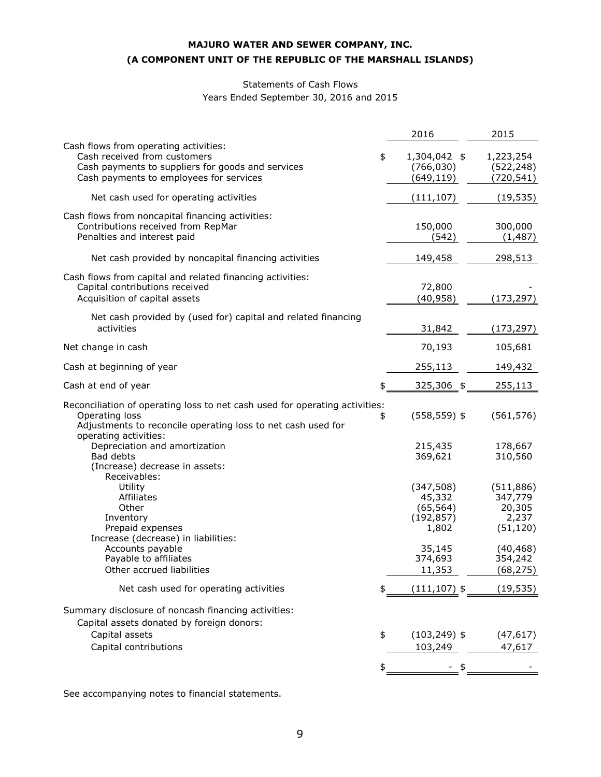# Statements of Cash Flows Years Ended September 30, 2016 and 2015

| Cash flows from operating activities:<br>Cash received from customers<br>\$<br>1,304,042 \$<br>1,223,254<br>Cash payments to suppliers for goods and services<br>(766, 030)<br>(522, 248)<br>Cash payments to employees for services<br>(649,119)<br>(720,541)<br>Net cash used for operating activities<br>(111, 107)<br>(19, 535)<br>Cash flows from noncapital financing activities:<br>150,000<br>300,000<br>Contributions received from RepMar<br>Penalties and interest paid<br>(542)<br>(1, 487)<br>Net cash provided by noncapital financing activities<br>149,458<br>298,513<br>Cash flows from capital and related financing activities:<br>72,800<br>Capital contributions received<br>(40, 958)<br>Acquisition of capital assets<br>(173, 297)<br>Net cash provided by (used for) capital and related financing<br>activities<br>31,842<br>(173, 297)<br>70,193<br>105,681<br>Net change in cash<br>Cash at beginning of year<br>255,113<br>149,432<br>Cash at end of year<br>325,306 \$<br>255,113<br>Reconciliation of operating loss to net cash used for operating activities:<br>Operating loss<br>$(558, 559)$ \$<br>(561, 576)<br>\$<br>Adjustments to reconcile operating loss to net cash used for<br>operating activities:<br>Depreciation and amortization<br>178,667<br>215,435<br>Bad debts<br>369,621<br>310,560<br>(Increase) decrease in assets:<br>Receivables:<br>Utility<br>(347,508)<br>(511, 886)<br>45,332<br>347,779<br>Affiliates<br>Other<br>(65, 564)<br>20,305<br>2,237<br>Inventory<br>(192, 857)<br>Prepaid expenses<br>1,802<br>(51, 120)<br>Increase (decrease) in liabilities:<br>Accounts payable<br>35,145<br>(40, 468)<br>Payable to affiliates<br>374,693<br>354,242<br>Other accrued liabilities<br>11,353<br>Net cash used for operating activities<br>$(111, 107)$ \$<br>Summary disclosure of noncash financing activities:<br>Capital assets donated by foreign donors:<br>Capital assets<br>\$<br>$(103, 249)$ \$<br>(47, 617)<br>Capital contributions<br>103,249<br>47,617 |  | 2016 | 2015      |
|------------------------------------------------------------------------------------------------------------------------------------------------------------------------------------------------------------------------------------------------------------------------------------------------------------------------------------------------------------------------------------------------------------------------------------------------------------------------------------------------------------------------------------------------------------------------------------------------------------------------------------------------------------------------------------------------------------------------------------------------------------------------------------------------------------------------------------------------------------------------------------------------------------------------------------------------------------------------------------------------------------------------------------------------------------------------------------------------------------------------------------------------------------------------------------------------------------------------------------------------------------------------------------------------------------------------------------------------------------------------------------------------------------------------------------------------------------------------------------------------------------------------------------------------------------------------------------------------------------------------------------------------------------------------------------------------------------------------------------------------------------------------------------------------------------------------------------------------------------------------------------------------------------------------------------------------------------------------------------------------------------------------------------|--|------|-----------|
|                                                                                                                                                                                                                                                                                                                                                                                                                                                                                                                                                                                                                                                                                                                                                                                                                                                                                                                                                                                                                                                                                                                                                                                                                                                                                                                                                                                                                                                                                                                                                                                                                                                                                                                                                                                                                                                                                                                                                                                                                                    |  |      |           |
|                                                                                                                                                                                                                                                                                                                                                                                                                                                                                                                                                                                                                                                                                                                                                                                                                                                                                                                                                                                                                                                                                                                                                                                                                                                                                                                                                                                                                                                                                                                                                                                                                                                                                                                                                                                                                                                                                                                                                                                                                                    |  |      |           |
|                                                                                                                                                                                                                                                                                                                                                                                                                                                                                                                                                                                                                                                                                                                                                                                                                                                                                                                                                                                                                                                                                                                                                                                                                                                                                                                                                                                                                                                                                                                                                                                                                                                                                                                                                                                                                                                                                                                                                                                                                                    |  |      |           |
|                                                                                                                                                                                                                                                                                                                                                                                                                                                                                                                                                                                                                                                                                                                                                                                                                                                                                                                                                                                                                                                                                                                                                                                                                                                                                                                                                                                                                                                                                                                                                                                                                                                                                                                                                                                                                                                                                                                                                                                                                                    |  |      |           |
|                                                                                                                                                                                                                                                                                                                                                                                                                                                                                                                                                                                                                                                                                                                                                                                                                                                                                                                                                                                                                                                                                                                                                                                                                                                                                                                                                                                                                                                                                                                                                                                                                                                                                                                                                                                                                                                                                                                                                                                                                                    |  |      |           |
|                                                                                                                                                                                                                                                                                                                                                                                                                                                                                                                                                                                                                                                                                                                                                                                                                                                                                                                                                                                                                                                                                                                                                                                                                                                                                                                                                                                                                                                                                                                                                                                                                                                                                                                                                                                                                                                                                                                                                                                                                                    |  |      |           |
|                                                                                                                                                                                                                                                                                                                                                                                                                                                                                                                                                                                                                                                                                                                                                                                                                                                                                                                                                                                                                                                                                                                                                                                                                                                                                                                                                                                                                                                                                                                                                                                                                                                                                                                                                                                                                                                                                                                                                                                                                                    |  |      |           |
|                                                                                                                                                                                                                                                                                                                                                                                                                                                                                                                                                                                                                                                                                                                                                                                                                                                                                                                                                                                                                                                                                                                                                                                                                                                                                                                                                                                                                                                                                                                                                                                                                                                                                                                                                                                                                                                                                                                                                                                                                                    |  |      |           |
|                                                                                                                                                                                                                                                                                                                                                                                                                                                                                                                                                                                                                                                                                                                                                                                                                                                                                                                                                                                                                                                                                                                                                                                                                                                                                                                                                                                                                                                                                                                                                                                                                                                                                                                                                                                                                                                                                                                                                                                                                                    |  |      |           |
|                                                                                                                                                                                                                                                                                                                                                                                                                                                                                                                                                                                                                                                                                                                                                                                                                                                                                                                                                                                                                                                                                                                                                                                                                                                                                                                                                                                                                                                                                                                                                                                                                                                                                                                                                                                                                                                                                                                                                                                                                                    |  |      |           |
|                                                                                                                                                                                                                                                                                                                                                                                                                                                                                                                                                                                                                                                                                                                                                                                                                                                                                                                                                                                                                                                                                                                                                                                                                                                                                                                                                                                                                                                                                                                                                                                                                                                                                                                                                                                                                                                                                                                                                                                                                                    |  |      |           |
|                                                                                                                                                                                                                                                                                                                                                                                                                                                                                                                                                                                                                                                                                                                                                                                                                                                                                                                                                                                                                                                                                                                                                                                                                                                                                                                                                                                                                                                                                                                                                                                                                                                                                                                                                                                                                                                                                                                                                                                                                                    |  |      |           |
|                                                                                                                                                                                                                                                                                                                                                                                                                                                                                                                                                                                                                                                                                                                                                                                                                                                                                                                                                                                                                                                                                                                                                                                                                                                                                                                                                                                                                                                                                                                                                                                                                                                                                                                                                                                                                                                                                                                                                                                                                                    |  |      | (68, 275) |
|                                                                                                                                                                                                                                                                                                                                                                                                                                                                                                                                                                                                                                                                                                                                                                                                                                                                                                                                                                                                                                                                                                                                                                                                                                                                                                                                                                                                                                                                                                                                                                                                                                                                                                                                                                                                                                                                                                                                                                                                                                    |  |      | (19, 535) |
|                                                                                                                                                                                                                                                                                                                                                                                                                                                                                                                                                                                                                                                                                                                                                                                                                                                                                                                                                                                                                                                                                                                                                                                                                                                                                                                                                                                                                                                                                                                                                                                                                                                                                                                                                                                                                                                                                                                                                                                                                                    |  |      |           |
|                                                                                                                                                                                                                                                                                                                                                                                                                                                                                                                                                                                                                                                                                                                                                                                                                                                                                                                                                                                                                                                                                                                                                                                                                                                                                                                                                                                                                                                                                                                                                                                                                                                                                                                                                                                                                                                                                                                                                                                                                                    |  |      |           |
|                                                                                                                                                                                                                                                                                                                                                                                                                                                                                                                                                                                                                                                                                                                                                                                                                                                                                                                                                                                                                                                                                                                                                                                                                                                                                                                                                                                                                                                                                                                                                                                                                                                                                                                                                                                                                                                                                                                                                                                                                                    |  |      |           |

See accompanying notes to financial statements.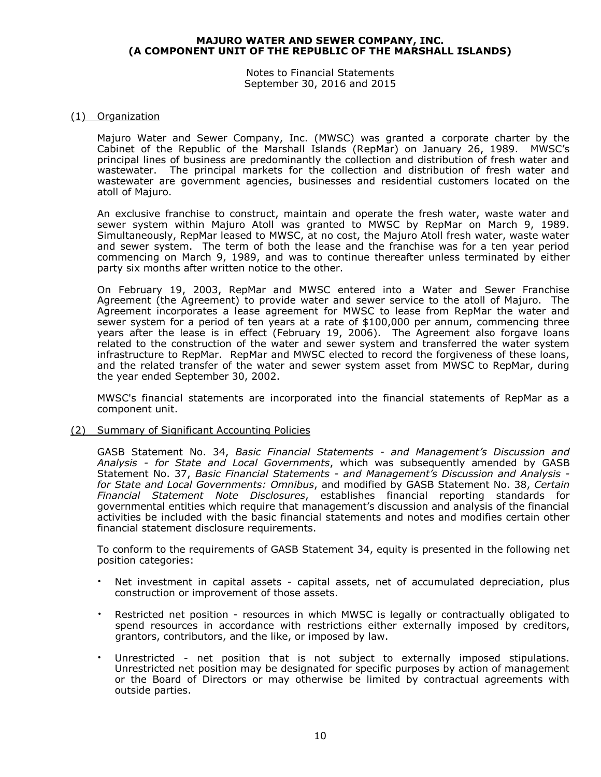Notes to Financial Statements September 30, 2016 and 2015

#### (1) Organization

Majuro Water and Sewer Company, Inc. (MWSC) was granted a corporate charter by the Cabinet of the Republic of the Marshall Islands (RepMar) on January 26, 1989. MWSC's principal lines of business are predominantly the collection and distribution of fresh water and wastewater. The principal markets for the collection and distribution of fresh water and wastewater are government agencies, businesses and residential customers located on the atoll of Majuro.

An exclusive franchise to construct, maintain and operate the fresh water, waste water and sewer system within Majuro Atoll was granted to MWSC by RepMar on March 9, 1989. Simultaneously, RepMar leased to MWSC, at no cost, the Majuro Atoll fresh water, waste water and sewer system. The term of both the lease and the franchise was for a ten year period commencing on March 9, 1989, and was to continue thereafter unless terminated by either party six months after written notice to the other.

On February 19, 2003, RepMar and MWSC entered into a Water and Sewer Franchise Agreement (the Agreement) to provide water and sewer service to the atoll of Majuro. The Agreement incorporates a lease agreement for MWSC to lease from RepMar the water and sewer system for a period of ten years at a rate of \$100,000 per annum, commencing three years after the lease is in effect (February 19, 2006). The Agreement also forgave loans related to the construction of the water and sewer system and transferred the water system infrastructure to RepMar. RepMar and MWSC elected to record the forgiveness of these loans, and the related transfer of the water and sewer system asset from MWSC to RepMar, during the year ended September 30, 2002.

MWSC's financial statements are incorporated into the financial statements of RepMar as a component unit.

(2) Summary of Significant Accounting Policies

GASB Statement No. 34, *Basic Financial Statements - and Management's Discussion and Analysis - for State and Local Governments*, which was subsequently amended by GASB Statement No. 37, *Basic Financial Statements - and Management's Discussion and Analysis for State and Local Governments: Omnibus*, and modified by GASB Statement No. 38, *Certain Financial Statement Note Disclosures*, establishes financial reporting standards for governmental entities which require that management's discussion and analysis of the financial activities be included with the basic financial statements and notes and modifies certain other financial statement disclosure requirements.

To conform to the requirements of GASB Statement 34, equity is presented in the following net position categories:

- Net investment in capital assets capital assets, net of accumulated depreciation, plus construction or improvement of those assets.
- Restricted net position resources in which MWSC is legally or contractually obligated to spend resources in accordance with restrictions either externally imposed by creditors, grantors, contributors, and the like, or imposed by law.
- Unrestricted net position that is not subject to externally imposed stipulations. Unrestricted net position may be designated for specific purposes by action of management or the Board of Directors or may otherwise be limited by contractual agreements with outside parties.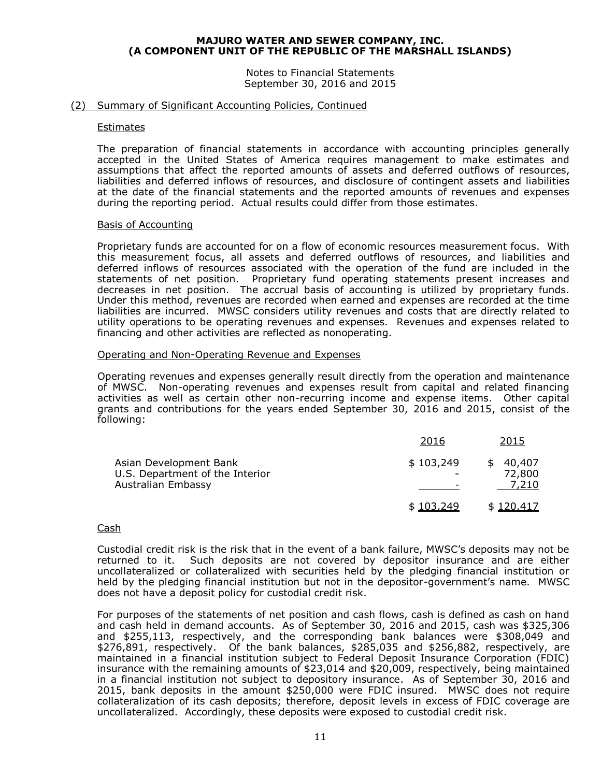Notes to Financial Statements September 30, 2016 and 2015

#### (2) Summary of Significant Accounting Policies, Continued

#### **Estimates**

The preparation of financial statements in accordance with accounting principles generally accepted in the United States of America requires management to make estimates and assumptions that affect the reported amounts of assets and deferred outflows of resources, liabilities and deferred inflows of resources, and disclosure of contingent assets and liabilities at the date of the financial statements and the reported amounts of revenues and expenses during the reporting period. Actual results could differ from those estimates.

#### Basis of Accounting

Proprietary funds are accounted for on a flow of economic resources measurement focus. With this measurement focus, all assets and deferred outflows of resources, and liabilities and deferred inflows of resources associated with the operation of the fund are included in the statements of net position. Proprietary fund operating statements present increases and decreases in net position. The accrual basis of accounting is utilized by proprietary funds. Under this method, revenues are recorded when earned and expenses are recorded at the time liabilities are incurred. MWSC considers utility revenues and costs that are directly related to utility operations to be operating revenues and expenses. Revenues and expenses related to financing and other activities are reflected as nonoperating.

#### Operating and Non-Operating Revenue and Expenses

Operating revenues and expenses generally result directly from the operation and maintenance of MWSC. Non-operating revenues and expenses result from capital and related financing activities as well as certain other non-recurring income and expense items. Other capital grants and contributions for the years ended September 30, 2016 and 2015, consist of the following:

|                                                                                 | 2016      | 2015                             |
|---------------------------------------------------------------------------------|-----------|----------------------------------|
| Asian Development Bank<br>U.S. Department of the Interior<br>Australian Embassy | \$103,249 | 40,407<br>SS.<br>72,800<br>7,210 |
|                                                                                 | \$103.249 | \$120.417                        |

#### Cash

Custodial credit risk is the risk that in the event of a bank failure, MWSC's deposits may not be returned to it. Such deposits are not covered by depositor insurance and are either uncollateralized or collateralized with securities held by the pledging financial institution or held by the pledging financial institution but not in the depositor-government's name. MWSC does not have a deposit policy for custodial credit risk.

For purposes of the statements of net position and cash flows, cash is defined as cash on hand and cash held in demand accounts. As of September 30, 2016 and 2015, cash was \$325,306 and \$255,113, respectively, and the corresponding bank balances were \$308,049 and \$276,891, respectively. Of the bank balances, \$285,035 and \$256,882, respectively, are maintained in a financial institution subject to Federal Deposit Insurance Corporation (FDIC) insurance with the remaining amounts of \$23,014 and \$20,009, respectively, being maintained in a financial institution not subject to depository insurance. As of September 30, 2016 and 2015, bank deposits in the amount \$250,000 were FDIC insured. MWSC does not require collateralization of its cash deposits; therefore, deposit levels in excess of FDIC coverage are uncollateralized. Accordingly, these deposits were exposed to custodial credit risk.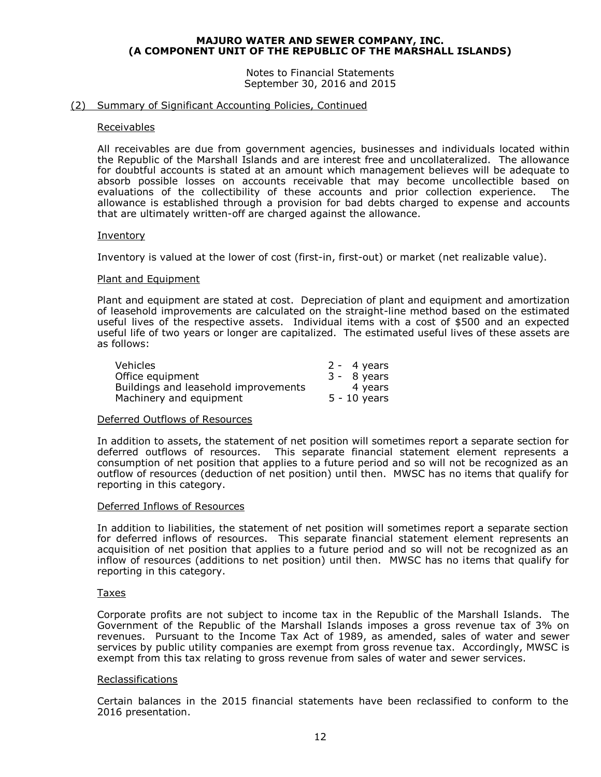Notes to Financial Statements September 30, 2016 and 2015

#### (2) Summary of Significant Accounting Policies, Continued

#### Receivables

All receivables are due from government agencies, businesses and individuals located within the Republic of the Marshall Islands and are interest free and uncollateralized. The allowance for doubtful accounts is stated at an amount which management believes will be adequate to absorb possible losses on accounts receivable that may become uncollectible based on evaluations of the collectibility of these accounts and prior collection experience. The allowance is established through a provision for bad debts charged to expense and accounts that are ultimately written-off are charged against the allowance.

#### Inventory

Inventory is valued at the lower of cost (first-in, first-out) or market (net realizable value).

#### Plant and Equipment

Plant and equipment are stated at cost. Depreciation of plant and equipment and amortization of leasehold improvements are calculated on the straight-line method based on the estimated useful lives of the respective assets. Individual items with a cost of \$500 and an expected useful life of two years or longer are capitalized. The estimated useful lives of these assets are as follows:

| Vehicles                             | $2 - 4$ years  |
|--------------------------------------|----------------|
| Office equipment                     | $3 - 8$ years  |
| Buildings and leasehold improvements | 4 years        |
| Machinery and equipment              | $5 - 10$ years |

#### Deferred Outflows of Resources

In addition to assets, the statement of net position will sometimes report a separate section for deferred outflows of resources. This separate financial statement element represents a consumption of net position that applies to a future period and so will not be recognized as an outflow of resources (deduction of net position) until then. MWSC has no items that qualify for reporting in this category.

#### Deferred Inflows of Resources

In addition to liabilities, the statement of net position will sometimes report a separate section for deferred inflows of resources. This separate financial statement element represents an acquisition of net position that applies to a future period and so will not be recognized as an inflow of resources (additions to net position) until then. MWSC has no items that qualify for reporting in this category.

#### Taxes

Corporate profits are not subject to income tax in the Republic of the Marshall Islands. The Government of the Republic of the Marshall Islands imposes a gross revenue tax of 3% on revenues. Pursuant to the Income Tax Act of 1989, as amended, sales of water and sewer services by public utility companies are exempt from gross revenue tax. Accordingly, MWSC is exempt from this tax relating to gross revenue from sales of water and sewer services.

#### Reclassifications

Certain balances in the 2015 financial statements have been reclassified to conform to the 2016 presentation.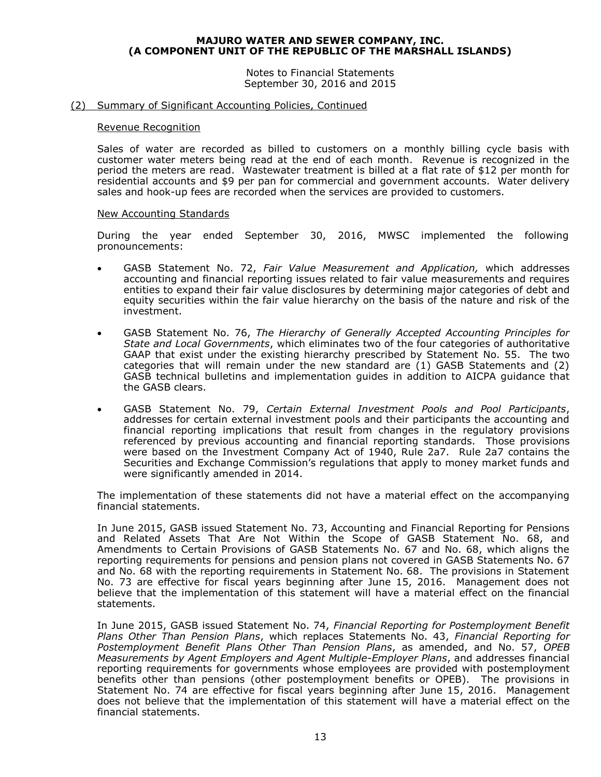Notes to Financial Statements September 30, 2016 and 2015

#### (2) Summary of Significant Accounting Policies, Continued

#### Revenue Recognition

Sales of water are recorded as billed to customers on a monthly billing cycle basis with customer water meters being read at the end of each month. Revenue is recognized in the period the meters are read. Wastewater treatment is billed at a flat rate of \$12 per month for residential accounts and \$9 per pan for commercial and government accounts. Water delivery sales and hook-up fees are recorded when the services are provided to customers.

#### New Accounting Standards

During the year ended September 30, 2016, MWSC implemented the following pronouncements:

- GASB Statement No. 72, *Fair Value Measurement and Application,* which addresses accounting and financial reporting issues related to fair value measurements and requires entities to expand their fair value disclosures by determining major categories of debt and equity securities within the fair value hierarchy on the basis of the nature and risk of the investment.
- GASB Statement No. 76, *The Hierarchy of Generally Accepted Accounting Principles for State and Local Governments*, which eliminates two of the four categories of authoritative GAAP that exist under the existing hierarchy prescribed by Statement No. 55. The two categories that will remain under the new standard are (1) GASB Statements and (2) GASB technical bulletins and implementation guides in addition to AICPA guidance that the GASB clears.
- GASB Statement No. 79, *Certain External Investment Pools and Pool Participants*, addresses for certain external investment pools and their participants the accounting and financial reporting implications that result from changes in the regulatory provisions referenced by previous accounting and financial reporting standards. Those provisions were based on the Investment Company Act of 1940, Rule 2a7. Rule 2a7 contains the Securities and Exchange Commission's regulations that apply to money market funds and were significantly amended in 2014.

The implementation of these statements did not have a material effect on the accompanying financial statements.

In June 2015, GASB issued Statement No. 73, Accounting and Financial Reporting for Pensions and Related Assets That Are Not Within the Scope of GASB Statement No. 68, and Amendments to Certain Provisions of GASB Statements No. 67 and No. 68, which aligns the reporting requirements for pensions and pension plans not covered in GASB Statements No. 67 and No. 68 with the reporting requirements in Statement No. 68. The provisions in Statement No. 73 are effective for fiscal years beginning after June 15, 2016. Management does not believe that the implementation of this statement will have a material effect on the financial statements.

In June 2015, GASB issued Statement No. 74, *Financial Reporting for Postemployment Benefit Plans Other Than Pension Plans*, which replaces Statements No. 43, *Financial Reporting for Postemployment Benefit Plans Other Than Pension Plans*, as amended, and No. 57, *OPEB Measurements by Agent Employers and Agent Multiple-Employer Plans*, and addresses financial reporting requirements for governments whose employees are provided with postemployment benefits other than pensions (other postemployment benefits or OPEB). The provisions in Statement No. 74 are effective for fiscal years beginning after June 15, 2016. Management does not believe that the implementation of this statement will have a material effect on the financial statements.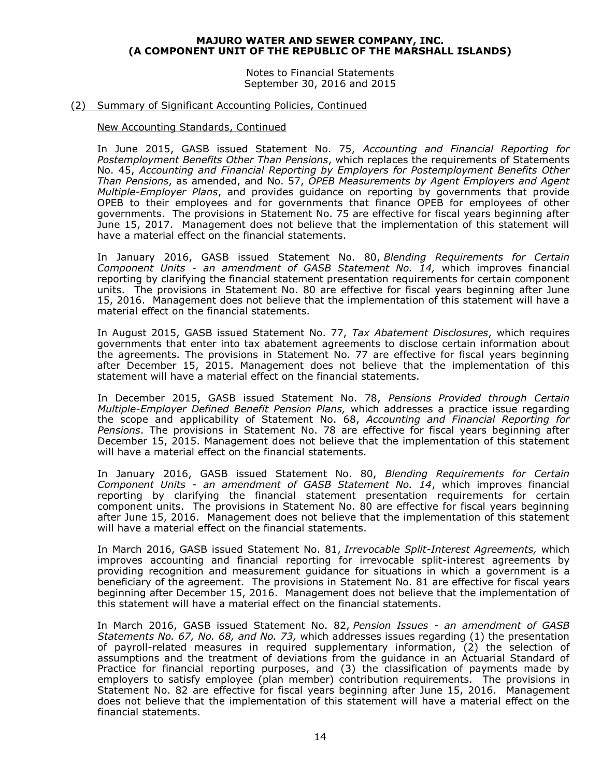Notes to Financial Statements September 30, 2016 and 2015

#### (2) Summary of Significant Accounting Policies, Continued

#### New Accounting Standards, Continued

In June 2015, GASB issued Statement No. 75, *Accounting and Financial Reporting for Postemployment Benefits Other Than Pensions*, which replaces the requirements of Statements No. 45, *Accounting and Financial Reporting by Employers for Postemployment Benefits Other Than Pensions*, as amended, and No. 57, *OPEB Measurements by Agent Employers and Agent Multiple-Employer Plans*, and provides guidance on reporting by governments that provide OPEB to their employees and for governments that finance OPEB for employees of other governments. The provisions in Statement No. 75 are effective for fiscal years beginning after June 15, 2017. Management does not believe that the implementation of this statement will have a material effect on the financial statements.

In January 2016, GASB issued Statement No. 80, *Blending Requirements for Certain Component Units - an amendment of GASB Statement No. 14,* which improves financial reporting by clarifying the financial statement presentation requirements for certain component units. The provisions in Statement No. 80 are effective for fiscal years beginning after June 15, 2016. Management does not believe that the implementation of this statement will have a material effect on the financial statements.

In August 2015, GASB issued Statement No. 77, *Tax Abatement Disclosures*, which requires governments that enter into tax abatement agreements to disclose certain information about the agreements. The provisions in Statement No. 77 are effective for fiscal years beginning after December 15, 2015. Management does not believe that the implementation of this statement will have a material effect on the financial statements.

In December 2015, GASB issued Statement No. 78, *Pensions Provided through Certain Multiple-Employer Defined Benefit Pension Plans,* which addresses a practice issue regarding the scope and applicability of Statement No. 68, *Accounting and Financial Reporting for Pensions*. The provisions in Statement No. 78 are effective for fiscal years beginning after December 15, 2015. Management does not believe that the implementation of this statement will have a material effect on the financial statements.

In January 2016, GASB issued Statement No. 80, *Blending Requirements for Certain Component Units - an amendment of GASB Statement No. 14*, which improves financial reporting by clarifying the financial statement presentation requirements for certain component units. The provisions in Statement No. 80 are effective for fiscal years beginning after June 15, 2016. Management does not believe that the implementation of this statement will have a material effect on the financial statements.

In March 2016, GASB issued Statement No. 81, *Irrevocable Split-Interest Agreements,* which improves accounting and financial reporting for irrevocable split-interest agreements by providing recognition and measurement guidance for situations in which a government is a beneficiary of the agreement. The provisions in Statement No. 81 are effective for fiscal years beginning after December 15, 2016. Management does not believe that the implementation of this statement will have a material effect on the financial statements.

In March 2016, GASB issued Statement No. 82, *Pension Issues - an amendment of GASB Statements No. 67, No. 68, and No. 73,* which addresses issues regarding (1) the presentation of payroll-related measures in required supplementary information, (2) the selection of assumptions and the treatment of deviations from the guidance in an Actuarial Standard of Practice for financial reporting purposes, and (3) the classification of payments made by employers to satisfy employee (plan member) contribution requirements. The provisions in Statement No. 82 are effective for fiscal years beginning after June 15, 2016. Management does not believe that the implementation of this statement will have a material effect on the financial statements.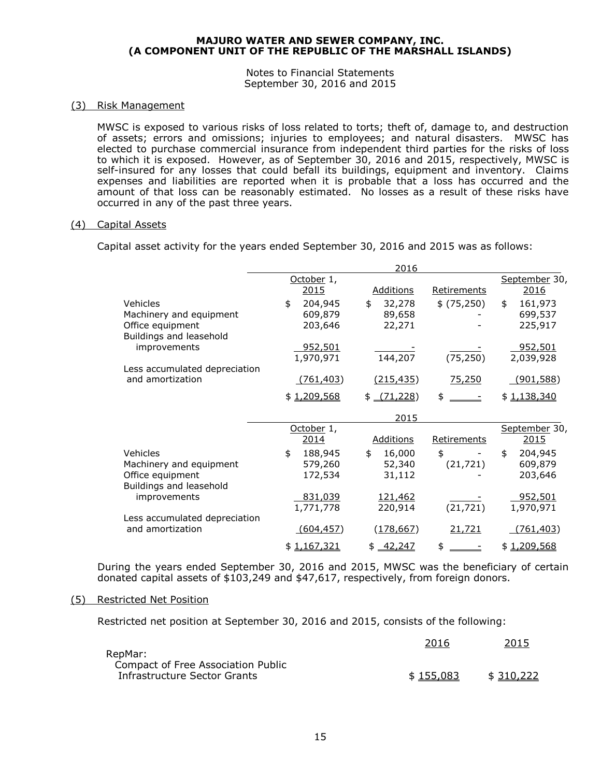Notes to Financial Statements September 30, 2016 and 2015

#### (3) Risk Management

MWSC is exposed to various risks of loss related to torts; theft of, damage to, and destruction of assets; errors and omissions; injuries to employees; and natural disasters. MWSC has elected to purchase commercial insurance from independent third parties for the risks of loss to which it is exposed. However, as of September 30, 2016 and 2015, respectively, MWSC is self-insured for any losses that could befall its buildings, equipment and inventory. Claims expenses and liabilities are reported when it is probable that a loss has occurred and the amount of that loss can be reasonably estimated. No losses as a result of these risks have occurred in any of the past three years.

#### (4) Capital Assets

Capital asset activity for the years ended September 30, 2016 and 2015 was as follows:

|                                                   |                | 2016             |             |                  |
|---------------------------------------------------|----------------|------------------|-------------|------------------|
|                                                   | October 1,     |                  |             | September 30,    |
|                                                   | 2015           | <b>Additions</b> | Retirements | 2016             |
| Vehicles                                          | 204,945<br>\$  | \$<br>32,278     | \$ (75,250) | \$<br>161,973    |
| Machinery and equipment                           | 609,879        | 89,658           |             | 699,537          |
| Office equipment                                  | 203,646        | 22,271           |             | 225,917          |
| Buildings and leasehold                           |                |                  |             |                  |
| improvements                                      | <u>952,501</u> |                  |             | <u>952,501</u>   |
|                                                   | 1,970,971      | 144,207          | (75, 250)   | 2,039,928        |
| Less accumulated depreciation<br>and amortization | (761, 403)     | (215, 435)       | 75,250      | <u>(901,588)</u> |
|                                                   |                |                  |             |                  |
|                                                   | \$1,209,568    | $$-(71,228)$     | \$          | \$1,138,340      |
|                                                   |                |                  |             |                  |
|                                                   |                | 2015             |             |                  |
|                                                   | October 1,     |                  |             | September 30,    |
|                                                   | 2014           | <b>Additions</b> | Retirements | 2015             |
| Vehicles                                          | 188,945<br>\$  | \$<br>16,000     | \$          | 204,945<br>\$    |
| Machinery and equipment                           | 579,260        | 52,340           | (21, 721)   | 609,879          |
| Office equipment                                  | 172,534        | 31,112           |             | 203,646          |
| Buildings and leasehold                           |                |                  |             |                  |
| improvements                                      | 831,039        | 121,462          |             | <u>952,501</u>   |
|                                                   | 1,771,778      | 220,914          | (21, 721)   | 1,970,971        |
| Less accumulated depreciation                     |                |                  |             |                  |
| and amortization                                  | (604, 457)     | (178, 667)       | 21,721      | (761, 403)       |

During the years ended September 30, 2016 and 2015, MWSC was the beneficiary of certain donated capital assets of \$103,249 and \$47,617, respectively, from foreign donors.

#### (5) Restricted Net Position

Restricted net position at September 30, 2016 and 2015, consists of the following:

|                                               | 2016      | 2015      |
|-----------------------------------------------|-----------|-----------|
| RepMar:<br>Compact of Free Association Public |           |           |
| Infrastructure Sector Grants                  | \$155.083 | \$310,222 |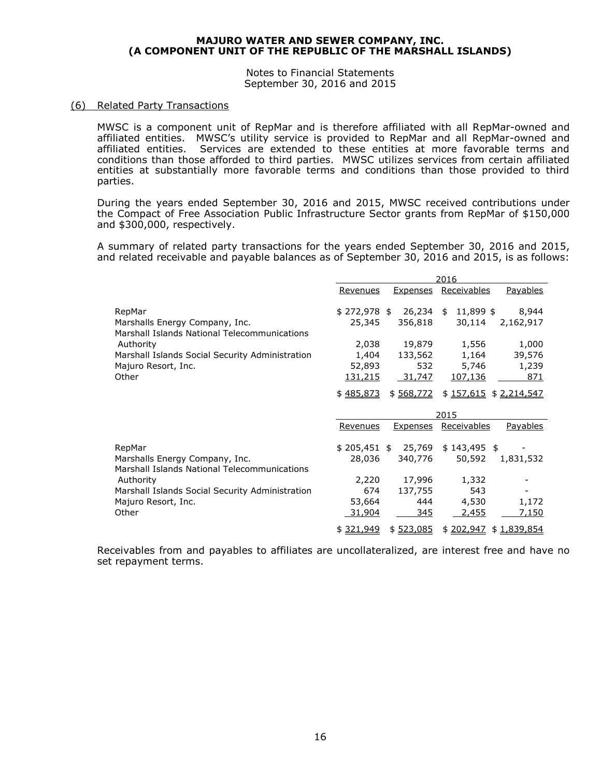Notes to Financial Statements September 30, 2016 and 2015

#### (6) Related Party Transactions

MWSC is a component unit of RepMar and is therefore affiliated with all RepMar-owned and affiliated entities. MWSC's utility service is provided to RepMar and all RepMar-owned and affiliated entities. Services are extended to these entities at more favorable terms and conditions than those afforded to third parties. MWSC utilizes services from certain affiliated entities at substantially more favorable terms and conditions than those provided to third parties.

During the years ended September 30, 2016 and 2015, MWSC received contributions under the Compact of Free Association Public Infrastructure Sector grants from RepMar of \$150,000 and \$300,000, respectively.

A summary of related party transactions for the years ended September 30, 2016 and 2015, and related receivable and payable balances as of September 30, 2016 and 2015, is as follows:

|                                                                                |                 |                  | 2016                    |                 |
|--------------------------------------------------------------------------------|-----------------|------------------|-------------------------|-----------------|
|                                                                                | <u>Revenues</u> | <u>Expenses</u>  | Receivables             | <b>Payables</b> |
| RepMar                                                                         | \$272,978 \$    | 26,234           | 11,899 \$<br>\$         | 8,944           |
| Marshalls Energy Company, Inc.<br>Marshall Islands National Telecommunications | 25,345          | 356,818          | 30,114                  | 2,162,917       |
| Authority                                                                      | 2,038           | 19,879           | 1,556                   | 1,000           |
| Marshall Islands Social Security Administration                                | 1,404           | 133,562          | 1,164                   | 39,576          |
| Majuro Resort, Inc.                                                            | 52,893          | 532              | 5,746                   | 1,239           |
| Other                                                                          | 131,215         | 31,747           | 107,136                 | 871             |
|                                                                                | \$485,873       | \$568,772        | $$157,615$ $$2,214,547$ |                 |
|                                                                                |                 |                  |                         |                 |
|                                                                                |                 |                  | 2015                    |                 |
|                                                                                | Revenues        | <b>Expenses</b>  | Receivables             | <u>Payables</u> |
| RepMar                                                                         | $$205,451$ \$   | 25,769           | $$143,495$ \$           |                 |
| Marshalls Energy Company, Inc.                                                 | 28,036          | 340,776          | 50,592                  | 1,831,532       |
| Marshall Islands National Telecommunications                                   |                 |                  |                         |                 |
| Authority                                                                      | 2,220           | 17,996           | 1,332                   |                 |
| Marshall Islands Social Security Administration                                | 674             | 137,755          | 543                     |                 |
| Majuro Resort, Inc.                                                            | 53,664          | 444              | 4,530                   | 1,172           |
| Other                                                                          | <u>31,904</u>   | 345<br>\$523,085 | 2,455                   | <u>7,150</u>    |

Receivables from and payables to affiliates are uncollateralized, are interest free and have no set repayment terms.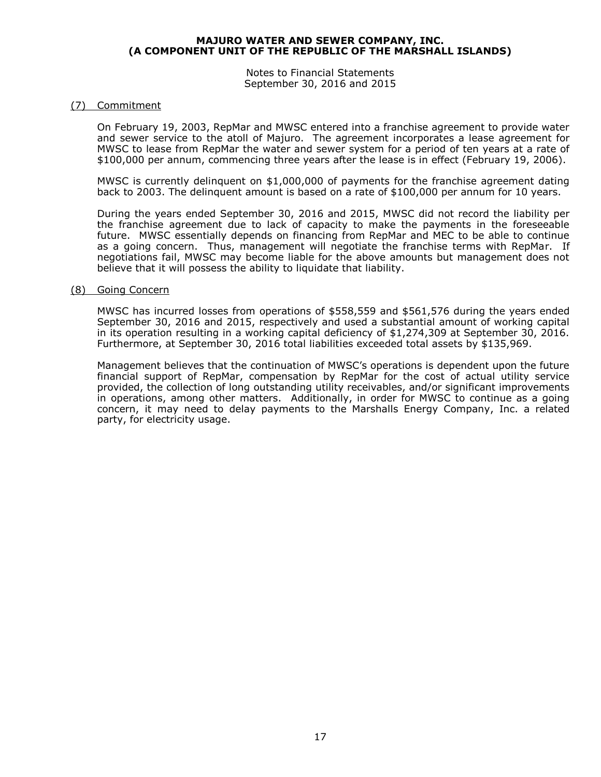Notes to Financial Statements September 30, 2016 and 2015

#### (7) Commitment

On February 19, 2003, RepMar and MWSC entered into a franchise agreement to provide water and sewer service to the atoll of Majuro. The agreement incorporates a lease agreement for MWSC to lease from RepMar the water and sewer system for a period of ten years at a rate of \$100,000 per annum, commencing three years after the lease is in effect (February 19, 2006).

MWSC is currently delinquent on \$1,000,000 of payments for the franchise agreement dating back to 2003. The delinquent amount is based on a rate of \$100,000 per annum for 10 years.

During the years ended September 30, 2016 and 2015, MWSC did not record the liability per the franchise agreement due to lack of capacity to make the payments in the foreseeable future. MWSC essentially depends on financing from RepMar and MEC to be able to continue as a going concern. Thus, management will negotiate the franchise terms with RepMar. If negotiations fail, MWSC may become liable for the above amounts but management does not believe that it will possess the ability to liquidate that liability.

#### (8) Going Concern

MWSC has incurred losses from operations of \$558,559 and \$561,576 during the years ended September 30, 2016 and 2015, respectively and used a substantial amount of working capital in its operation resulting in a working capital deficiency of \$1,274,309 at September 30, 2016. Furthermore, at September 30, 2016 total liabilities exceeded total assets by \$135,969.

Management believes that the continuation of MWSC's operations is dependent upon the future financial support of RepMar, compensation by RepMar for the cost of actual utility service provided, the collection of long outstanding utility receivables, and/or significant improvements in operations, among other matters. Additionally, in order for MWSC to continue as a going concern, it may need to delay payments to the Marshalls Energy Company, Inc. a related party, for electricity usage.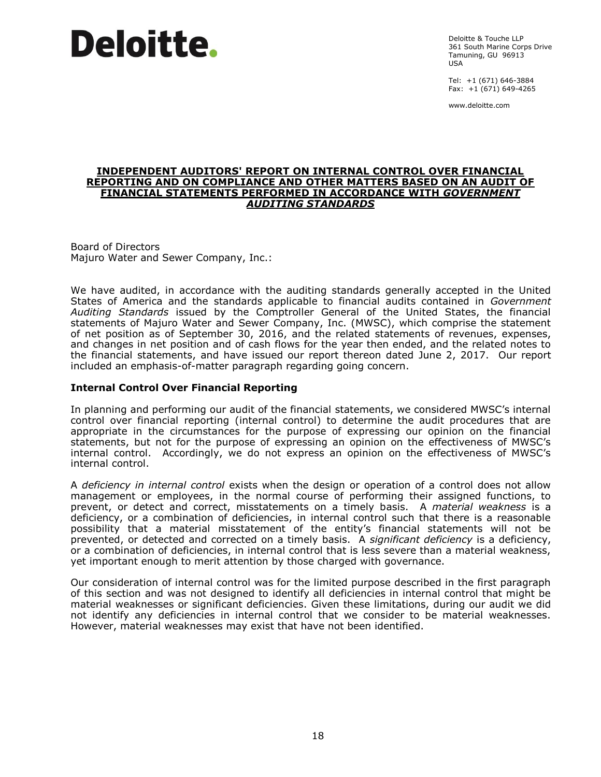# **Deloitte.**

Deloitte & Touche LLP 361 South Marine Corps Drive Tamuning, GU 96913  $IISA$ 

Tel: +1 (671) 646-3884 Fax: +1 (671) 649-4265

www.deloitte.com

#### **INDEPENDENT AUDITORS' REPORT ON INTERNAL CONTROL OVER FINANCIAL REPORTING AND ON COMPLIANCE AND OTHER MATTERS BASED ON AN AUDIT OF FINANCIAL STATEMENTS PERFORMED IN ACCORDANCE WITH** *GOVERNMENT AUDITING STANDARDS*

Board of Directors Majuro Water and Sewer Company, Inc.:

We have audited, in accordance with the auditing standards generally accepted in the United States of America and the standards applicable to financial audits contained in *Government Auditing Standards* issued by the Comptroller General of the United States, the financial statements of Majuro Water and Sewer Company, Inc. (MWSC), which comprise the statement of net position as of September 30, 2016, and the related statements of revenues, expenses, and changes in net position and of cash flows for the year then ended, and the related notes to the financial statements, and have issued our report thereon dated June 2, 2017. Our report included an emphasis-of-matter paragraph regarding going concern.

#### **Internal Control Over Financial Reporting**

In planning and performing our audit of the financial statements, we considered MWSC's internal control over financial reporting (internal control) to determine the audit procedures that are appropriate in the circumstances for the purpose of expressing our opinion on the financial statements, but not for the purpose of expressing an opinion on the effectiveness of MWSC's internal control. Accordingly, we do not express an opinion on the effectiveness of MWSC's internal control.

A *deficiency in internal control* exists when the design or operation of a control does not allow management or employees, in the normal course of performing their assigned functions, to prevent, or detect and correct, misstatements on a timely basis. A *material weakness* is a deficiency, or a combination of deficiencies, in internal control such that there is a reasonable possibility that a material misstatement of the entity's financial statements will not be prevented, or detected and corrected on a timely basis. A *significant deficiency* is a deficiency, or a combination of deficiencies, in internal control that is less severe than a material weakness, yet important enough to merit attention by those charged with governance.

Our consideration of internal control was for the limited purpose described in the first paragraph of this section and was not designed to identify all deficiencies in internal control that might be material weaknesses or significant deficiencies. Given these limitations, during our audit we did not identify any deficiencies in internal control that we consider to be material weaknesses. However, material weaknesses may exist that have not been identified.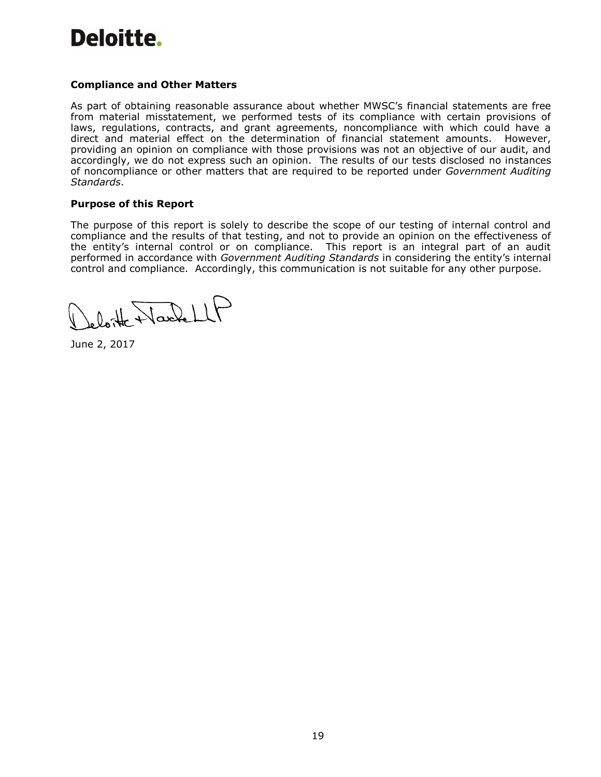# Deloitte.

# **Compliance and Other Matters**

As part of obtaining reasonable assurance about whether MWSC's financial statements are free from material misstatement, we performed tests of its compliance with certain provisions of laws, regulations, contracts, and grant agreements, noncompliance with which could have a direct and material effect on the determination of financial statement amounts. However, providing an opinion on compliance with those provisions was not an objective of our audit, and accordingly, we do not express such an opinion. The results of our tests disclosed no instances of noncompliance or other matters that are required to be reported under *Government Auditing Standards*.

#### **Purpose of this Report**

The purpose of this report is solely to describe the scope of our testing of internal control and compliance and the results of that testing, and not to provide an opinion on the effectiveness of the entity's internal control or on compliance. This report is an integral part of an audit performed in accordance with *Government Auditing Standards* in considering the entity's internal control and compliance. Accordingly, this communication is not suitable for any other purpose.

loite Washell

June 2, 2017